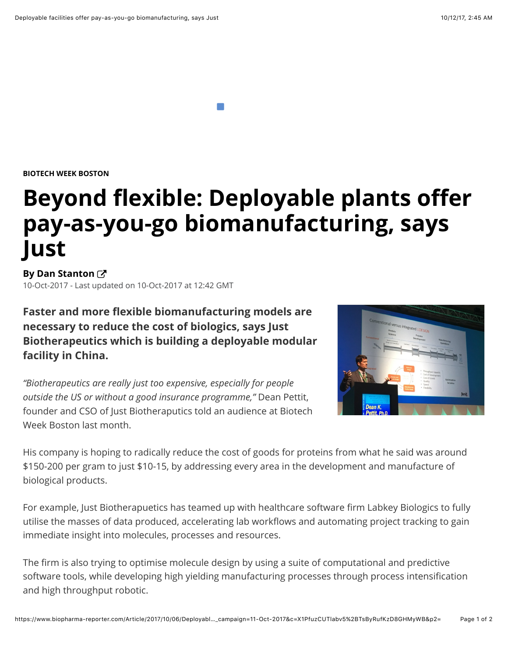**BIOTECH WEEK BOSTON**

## **Beyond flexible: Deployable plants offer pay-as-you-go biomanufacturing, says Just**

**ByDan Stanton**<sup>7</sup>

10-Oct-2017 - Last updated on 10-Oct-2017 at 12:42 GMT

**Faster and more flexible biomanufacturing models are necessary to reduce the cost of biologics, says Just Biotherapeutics which is building a deployable modular facility in China.**

*"Biotherapeutics are really just too expensive, especially for people outside the US or without a good insurance programme,"* Dean Pettit, founder and CSO of Just Biotheraputics told an audience at Biotech Week Boston last month.



His company is hoping to radically reduce the cost of goods for proteins from what he said was around \$150-200 per gram to just \$10-15, by addressing every area in the development and manufacture of biological products.

For example, Just Biotherapuetics has teamed up with healthcare software firm Labkey Biologics to fully utilise the masses of data produced, accelerating lab workflows and automating project tracking to gain immediate insight into molecules, processes and resources.

The firm is also trying to optimise molecule design by using a suite of computational and predictive software tools, while developing high yielding manufacturing processes through process intensification and high throughput robotic.